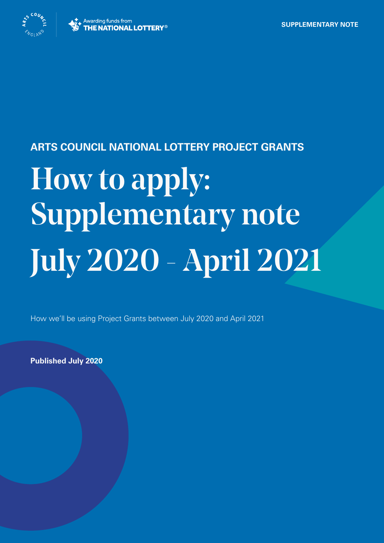

#### **ARTS COUNCIL NATIONAL LOTTERY PROJECT GRANTS**

# How to apply: Supplementary note July 2020 - April 2021

How we'll be using Project Grants between July 2020 and April 2021

**Published July 2020**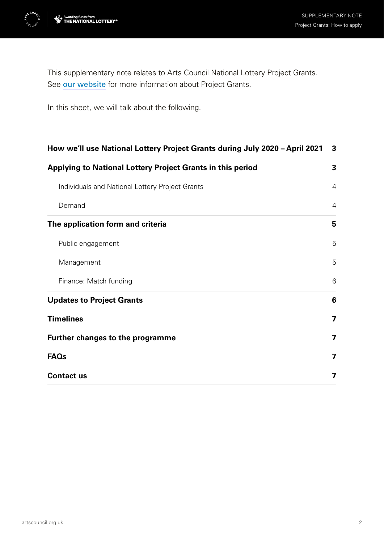

This supplementary note relates to Arts Council National Lottery Project Grants. See [our website](http://www.artscouncil.org.uk/projectgrants) for more information about Project Grants.

In this sheet, we will talk about the following.

| How we'll use National Lottery Project Grants during July 2020 - April 2021<br>Applying to National Lottery Project Grants in this period | 3              |
|-------------------------------------------------------------------------------------------------------------------------------------------|----------------|
|                                                                                                                                           | 3              |
| Individuals and National Lottery Project Grants                                                                                           | 4              |
| Demand                                                                                                                                    | 4              |
| The application form and criteria                                                                                                         | 5              |
| Public engagement                                                                                                                         | 5              |
| Management                                                                                                                                | 5              |
| Finance: Match funding                                                                                                                    | 6              |
| <b>Updates to Project Grants</b>                                                                                                          | 6              |
| <b>Timelines</b>                                                                                                                          | 7              |
| <b>Further changes to the programme</b>                                                                                                   | $\overline{7}$ |
| <b>FAQs</b>                                                                                                                               | 7              |
| <b>Contact us</b>                                                                                                                         | 7              |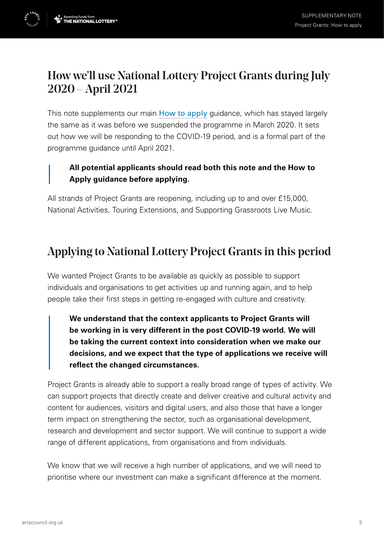<span id="page-2-0"></span>

This note supplements our main [How to apply](https://www.artscouncil.org.uk/howtoapply) guidance, which has stayed largely the same as it was before we suspended the programme in March 2020. It sets out how we will be responding to the COVID-19 period, and is a formal part of the programme guidance until April 2021.

#### **All potential applicants should read both this note and the How to Apply guidance before applying.**

All strands of Project Grants are reopening, including up to and over £15,000, National Activities, Touring Extensions, and Supporting Grassroots Live Music.

## Applying to National Lottery Project Grants in this period

We wanted Project Grants to be available as quickly as possible to support individuals and organisations to get activities up and running again, and to help people take their first steps in getting re-engaged with culture and creativity.

**We understand that the context applicants to Project Grants will be working in is very different in the post COVID-19 world. We will be taking the current context into consideration when we make our decisions, and we expect that the type of applications we receive will reflect the changed circumstances.**

Project Grants is already able to support a really broad range of types of activity. We can support projects that directly create and deliver creative and cultural activity and content for audiences, visitors and digital users, and also those that have a longer term impact on strengthening the sector, such as organisational development, research and development and sector support. We will continue to support a wide range of different applications, from organisations and from individuals.

We know that we will receive a high number of applications, and we will need to prioritise where our investment can make a significant difference at the moment.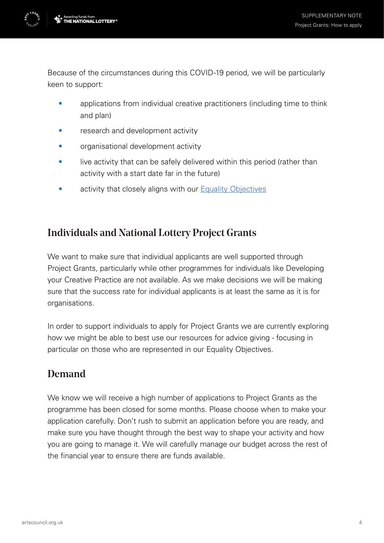<span id="page-3-0"></span>

Because of the circumstances during this COVID-19 period, we will be particularly keen to support:

- applications from individual creative practitioners (including time to think and plan)
- research and development activity
- organisational development activity
- live activity that can be safely delivered within this period (rather than activity with a start date far in the future)
- activity that closely aligns with our [Equality Objectives](https://www.artscouncil.org.uk/equality-objectives)

#### Individuals and National Lottery Project Grants

We want to make sure that individual applicants are well supported through Project Grants, particularly while other programmes for individuals like Developing your Creative Practice are not available. As we make decisions we will be making sure that the success rate for individual applicants is at least the same as it is for organisations.

In order to support individuals to apply for Project Grants we are currently exploring how we might be able to best use our resources for advice giving - focusing in particular on those who are represented in our Equality Objectives.

## Demand

We know we will receive a high number of applications to Project Grants as the programme has been closed for some months. Please choose when to make your application carefully. Don't rush to submit an application before you are ready, and make sure you have thought through the best way to shape your activity and how you are going to manage it. We will carefully manage our budget across the rest of the financial year to ensure there are funds available.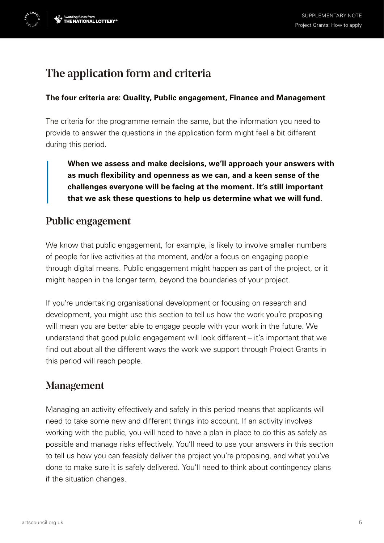## <span id="page-4-0"></span>The application form and criteria

#### **The four criteria are: Quality, Public engagement, Finance and Management**

The criteria for the programme remain the same, but the information you need to provide to answer the questions in the application form might feel a bit different during this period.

**When we assess and make decisions, we'll approach your answers with as much flexibility and openness as we can, and a keen sense of the challenges everyone will be facing at the moment. It's still important that we ask these questions to help us determine what we will fund.**

#### Public engagement

We know that public engagement, for example, is likely to involve smaller numbers of people for live activities at the moment, and/or a focus on engaging people through digital means. Public engagement might happen as part of the project, or it might happen in the longer term, beyond the boundaries of your project.

If you're undertaking organisational development or focusing on research and development, you might use this section to tell us how the work you're proposing will mean you are better able to engage people with your work in the future. We understand that good public engagement will look different – it's important that we find out about all the different ways the work we support through Project Grants in this period will reach people.

### Management

Managing an activity effectively and safely in this period means that applicants will need to take some new and different things into account. If an activity involves working with the public, you will need to have a plan in place to do this as safely as possible and manage risks effectively. You'll need to use your answers in this section to tell us how you can feasibly deliver the project you're proposing, and what you've done to make sure it is safely delivered. You'll need to think about contingency plans if the situation changes.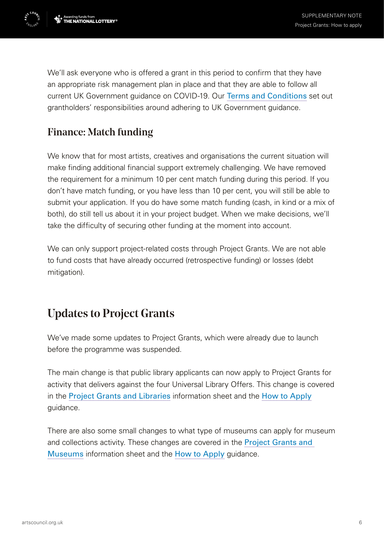<span id="page-5-0"></span>

We'll ask everyone who is offered a grant in this period to confirm that they have an appropriate risk management plan in place and that they are able to follow all current UK Government guidance on COVID-19. Our [Terms and Conditions](https://www.artscouncil.org.uk/funding/standard-conditions-grants#section-1) set out grantholders' responsibilities around adhering to UK Government guidance.

## Finance: Match funding

We know that for most artists, creatives and organisations the current situation will make finding additional financial support extremely challenging. We have removed the requirement for a minimum 10 per cent match funding during this period. If you don't have match funding, or you have less than 10 per cent, you will still be able to submit your application. If you do have some match funding (cash, in kind or a mix of both), do still tell us about it in your project budget. When we make decisions, we'll take the difficulty of securing other funding at the moment into account.

We can only support project-related costs through Project Grants. We are not able to fund costs that have already occurred (retrospective funding) or losses (debt mitigation).

## Updates to Project Grants

We've made some updates to Project Grants, which were already due to launch before the programme was suspended.

The main change is that public library applicants can now apply to Project Grants for activity that delivers against the four Universal Library Offers. This change is covered in the [Project Grants and Libraries](https://www.artscouncil.org.uk/arts-council-national-lottery-project-grants/all-information-sheets?search_api_views_fulltext=&f%5B0%5D=field_areas_of_work_tags%3A915) information sheet and the [How to Apply](https://www.artscouncil.org.uk/howtoapply) guidance.

There are also some small changes to what type of museums can apply for museum and collections activity. These changes are covered in the Project Grants and [Museums](https://www.artscouncil.org.uk/arts-council-national-lottery-project-grants/all-information-sheets?f%5B0%5D=field_areas_of_work_tags%3A918) information sheet and the [How to Apply](https://www.artscouncil.org.uk/howtoapply) guidance.